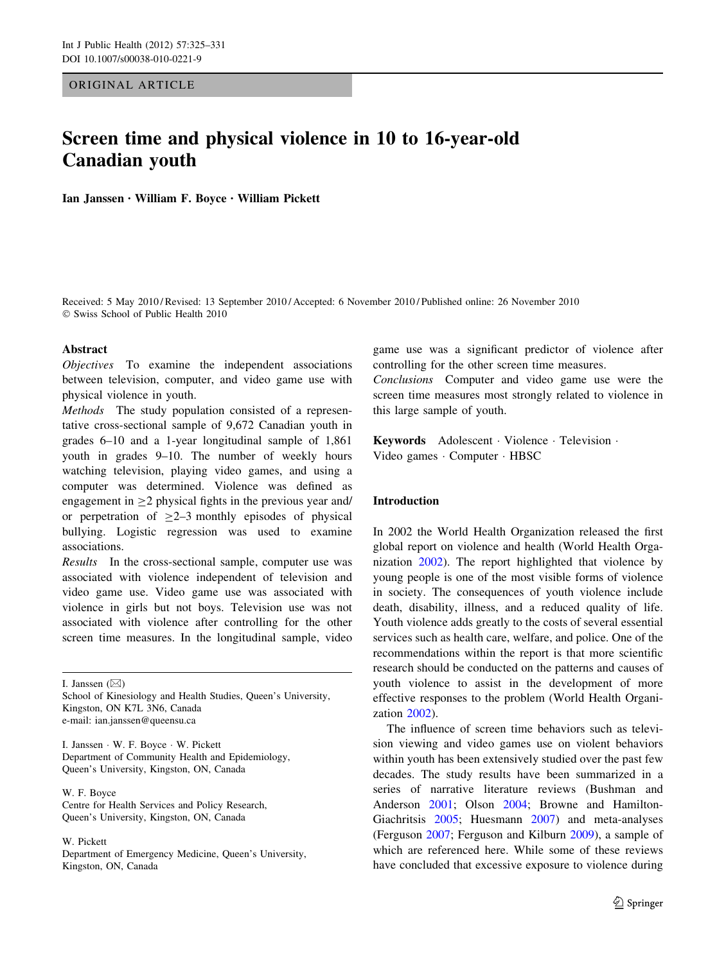ORIGINAL ARTICLE

# Screen time and physical violence in 10 to 16-year-old Canadian youth

Ian Janssen • William F. Boyce • William Pickett

Received: 5 May 2010 / Revised: 13 September 2010 / Accepted: 6 November 2010 / Published online: 26 November 2010 - Swiss School of Public Health 2010

## Abstract

Objectives To examine the independent associations between television, computer, and video game use with physical violence in youth.

Methods The study population consisted of a representative cross-sectional sample of 9,672 Canadian youth in grades 6–10 and a 1-year longitudinal sample of 1,861 youth in grades 9–10. The number of weekly hours watching television, playing video games, and using a computer was determined. Violence was defined as engagement in  $\geq$ 2 physical fights in the previous year and/ or perpetration of  $>2-3$  monthly episodes of physical bullying. Logistic regression was used to examine associations.

Results In the cross-sectional sample, computer use was associated with violence independent of television and video game use. Video game use was associated with violence in girls but not boys. Television use was not associated with violence after controlling for the other screen time measures. In the longitudinal sample, video

I. Janssen  $(\boxtimes)$ 

School of Kinesiology and Health Studies, Queen's University, Kingston, ON K7L 3N6, Canada e-mail: ian.janssen@queensu.ca

I. Janssen - W. F. Boyce - W. Pickett Department of Community Health and Epidemiology, Queen's University, Kingston, ON, Canada

W. F. Boyce Centre for Health Services and Policy Research, Queen's University, Kingston, ON, Canada

W. Pickett

Department of Emergency Medicine, Queen's University, Kingston, ON, Canada

game use was a significant predictor of violence after controlling for the other screen time measures.

Conclusions Computer and video game use were the screen time measures most strongly related to violence in this large sample of youth.

Keywords Adolescent - Violence - Television - Video games - Computer - HBSC

# Introduction

In 2002 the World Health Organization released the first global report on violence and health (World Health Organization [2002\)](#page-6-0). The report highlighted that violence by young people is one of the most visible forms of violence in society. The consequences of youth violence include death, disability, illness, and a reduced quality of life. Youth violence adds greatly to the costs of several essential services such as health care, welfare, and police. One of the recommendations within the report is that more scientific research should be conducted on the patterns and causes of youth violence to assist in the development of more effective responses to the problem (World Health Organization [2002\)](#page-6-0).

The influence of screen time behaviors such as television viewing and video games use on violent behaviors within youth has been extensively studied over the past few decades. The study results have been summarized in a series of narrative literature reviews (Bushman and Anderson [2001](#page-6-0); Olson [2004;](#page-6-0) Browne and Hamilton-Giachritsis [2005](#page-6-0); Huesmann [2007\)](#page-6-0) and meta-analyses (Ferguson [2007;](#page-6-0) Ferguson and Kilburn [2009\)](#page-6-0), a sample of which are referenced here. While some of these reviews have concluded that excessive exposure to violence during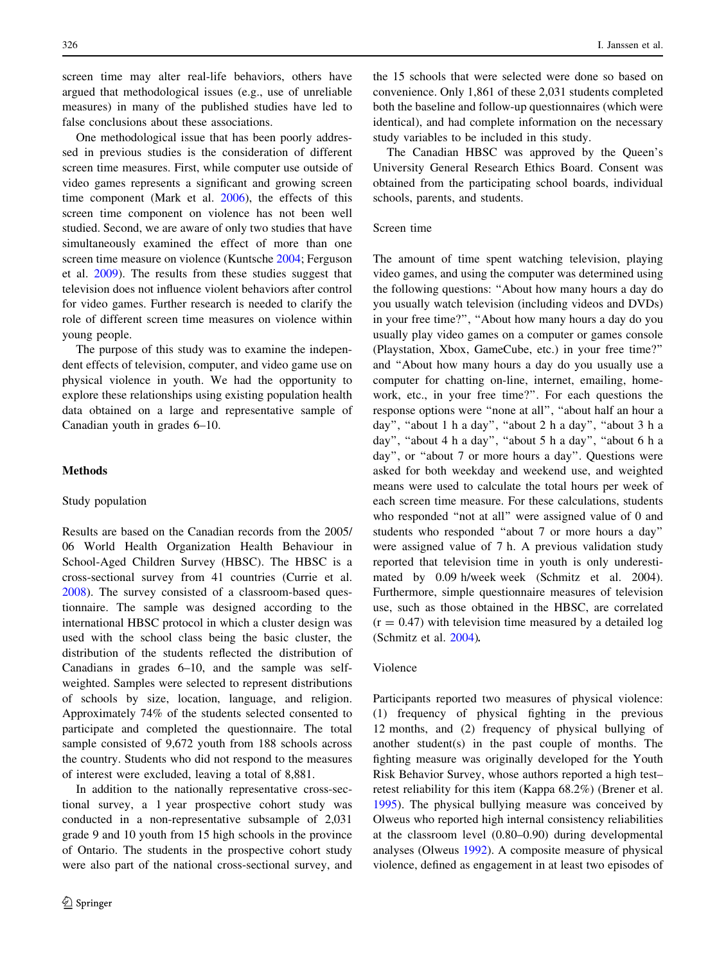screen time may alter real-life behaviors, others have argued that methodological issues (e.g., use of unreliable measures) in many of the published studies have led to false conclusions about these associations.

One methodological issue that has been poorly addressed in previous studies is the consideration of different screen time measures. First, while computer use outside of video games represents a significant and growing screen time component (Mark et al. [2006](#page-6-0)), the effects of this screen time component on violence has not been well studied. Second, we are aware of only two studies that have simultaneously examined the effect of more than one screen time measure on violence (Kuntsche [2004;](#page-6-0) Ferguson et al. [2009](#page-6-0)). The results from these studies suggest that television does not influence violent behaviors after control for video games. Further research is needed to clarify the role of different screen time measures on violence within young people.

The purpose of this study was to examine the independent effects of television, computer, and video game use on physical violence in youth. We had the opportunity to explore these relationships using existing population health data obtained on a large and representative sample of Canadian youth in grades 6–10.

## Methods

#### Study population

Results are based on the Canadian records from the 2005/ 06 World Health Organization Health Behaviour in School-Aged Children Survey (HBSC). The HBSC is a cross-sectional survey from 41 countries (Currie et al. [2008\)](#page-6-0). The survey consisted of a classroom-based questionnaire. The sample was designed according to the international HBSC protocol in which a cluster design was used with the school class being the basic cluster, the distribution of the students reflected the distribution of Canadians in grades 6–10, and the sample was selfweighted. Samples were selected to represent distributions of schools by size, location, language, and religion. Approximately 74% of the students selected consented to participate and completed the questionnaire. The total sample consisted of 9,672 youth from 188 schools across the country. Students who did not respond to the measures of interest were excluded, leaving a total of 8,881.

In addition to the nationally representative cross-sectional survey, a 1 year prospective cohort study was conducted in a non-representative subsample of 2,031 grade 9 and 10 youth from 15 high schools in the province of Ontario. The students in the prospective cohort study were also part of the national cross-sectional survey, and

the 15 schools that were selected were done so based on convenience. Only 1,861 of these 2,031 students completed both the baseline and follow-up questionnaires (which were identical), and had complete information on the necessary study variables to be included in this study.

The Canadian HBSC was approved by the Queen's University General Research Ethics Board. Consent was obtained from the participating school boards, individual schools, parents, and students.

# Screen time

The amount of time spent watching television, playing video games, and using the computer was determined using the following questions: ''About how many hours a day do you usually watch television (including videos and DVDs) in your free time?'', ''About how many hours a day do you usually play video games on a computer or games console (Playstation, Xbox, GameCube, etc.) in your free time?'' and ''About how many hours a day do you usually use a computer for chatting on-line, internet, emailing, homework, etc., in your free time?''. For each questions the response options were ''none at all'', ''about half an hour a day", "about 1 h a day", "about 2 h a day", "about 3 h a day", "about 4 h a day", "about 5 h a day", "about 6 h a day'', or ''about 7 or more hours a day''. Questions were asked for both weekday and weekend use, and weighted means were used to calculate the total hours per week of each screen time measure. For these calculations, students who responded "not at all" were assigned value of 0 and students who responded ''about 7 or more hours a day'' were assigned value of 7 h. A previous validation study reported that television time in youth is only underestimated by 0.09 h/week week (Schmitz et al. 2004). Furthermore, simple questionnaire measures of television use, such as those obtained in the HBSC, are correlated  $(r = 0.47)$  with television time measured by a detailed log (Schmitz et al. [2004](#page-6-0)).

## Violence

Participants reported two measures of physical violence: (1) frequency of physical fighting in the previous 12 months, and (2) frequency of physical bullying of another student(s) in the past couple of months. The fighting measure was originally developed for the Youth Risk Behavior Survey, whose authors reported a high test– retest reliability for this item (Kappa 68.2%) (Brener et al. [1995](#page-6-0)). The physical bullying measure was conceived by Olweus who reported high internal consistency reliabilities at the classroom level (0.80–0.90) during developmental analyses (Olweus [1992\)](#page-6-0). A composite measure of physical violence, defined as engagement in at least two episodes of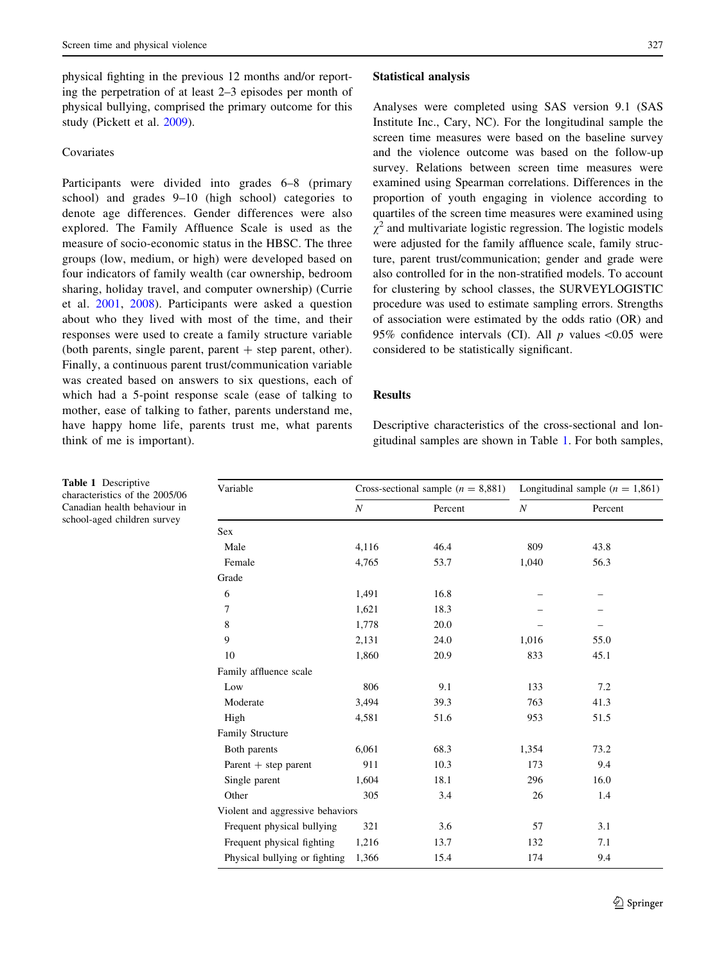physical fighting in the previous 12 months and/or reporting the perpetration of at least 2–3 episodes per month of physical bullying, comprised the primary outcome for this study (Pickett et al. [2009](#page-6-0)).

# **Covariates**

Participants were divided into grades 6–8 (primary school) and grades 9–10 (high school) categories to denote age differences. Gender differences were also explored. The Family Affluence Scale is used as the measure of socio-economic status in the HBSC. The three groups (low, medium, or high) were developed based on four indicators of family wealth (car ownership, bedroom sharing, holiday travel, and computer ownership) (Currie et al. [2001](#page-6-0), [2008](#page-6-0)). Participants were asked a question about who they lived with most of the time, and their responses were used to create a family structure variable (both parents, single parent, parent  $+$  step parent, other). Finally, a continuous parent trust/communication variable was created based on answers to six questions, each of which had a 5-point response scale (ease of talking to mother, ease of talking to father, parents understand me, have happy home life, parents trust me, what parents think of me is important).

#### Statistical analysis

Analyses were completed using SAS version 9.1 (SAS Institute Inc., Cary, NC). For the longitudinal sample the screen time measures were based on the baseline survey and the violence outcome was based on the follow-up survey. Relations between screen time measures were examined using Spearman correlations. Differences in the proportion of youth engaging in violence according to quartiles of the screen time measures were examined using  $\chi^2$  and multivariate logistic regression. The logistic models were adjusted for the family affluence scale, family structure, parent trust/communication; gender and grade were also controlled for in the non-stratified models. To account for clustering by school classes, the SURVEYLOGISTIC procedure was used to estimate sampling errors. Strengths of association were estimated by the odds ratio (OR) and 95% confidence intervals (CI). All  $p$  values <0.05 were considered to be statistically significant.

## **Results**

Descriptive characteristics of the cross-sectional and longitudinal samples are shown in Table 1. For both samples,

| Variable                         | Cross-sectional sample $(n = 8,881)$ |         | Longitudinal sample $(n = 1,861)$ |         |
|----------------------------------|--------------------------------------|---------|-----------------------------------|---------|
|                                  | $\boldsymbol{N}$                     | Percent | $\cal N$                          | Percent |
| <b>Sex</b>                       |                                      |         |                                   |         |
| Male                             | 4,116                                | 46.4    | 809                               | 43.8    |
| Female                           | 4,765                                | 53.7    | 1,040                             | 56.3    |
| Grade                            |                                      |         |                                   |         |
| 6                                | 1,491                                | 16.8    |                                   |         |
| 7                                | 1,621                                | 18.3    |                                   |         |
| 8                                | 1,778                                | 20.0    |                                   |         |
| 9                                | 2,131                                | 24.0    | 1,016                             | 55.0    |
| 10                               | 1,860                                | 20.9    | 833                               | 45.1    |
| Family affluence scale           |                                      |         |                                   |         |
| Low                              | 806                                  | 9.1     | 133                               | 7.2     |
| Moderate                         | 3,494                                | 39.3    | 763                               | 41.3    |
| High                             | 4,581                                | 51.6    | 953                               | 51.5    |
| Family Structure                 |                                      |         |                                   |         |
| Both parents                     | 6,061                                | 68.3    | 1,354                             | 73.2    |
| Parent $+$ step parent           | 911                                  | 10.3    | 173                               | 9.4     |
| Single parent                    | 1,604                                | 18.1    | 296                               | 16.0    |
| Other                            | 305                                  | 3.4     | 26                                | 1.4     |
| Violent and aggressive behaviors |                                      |         |                                   |         |
| Frequent physical bullying       | 321                                  | 3.6     | 57                                | 3.1     |
| Frequent physical fighting       | 1,216                                | 13.7    | 132                               | 7.1     |
| Physical bullying or fighting    | 1,366                                | 15.4    | 174                               | 9.4     |

Table 1 Descriptive characteristics of the 2005/06 Canadian health behaviour in school-aged children survey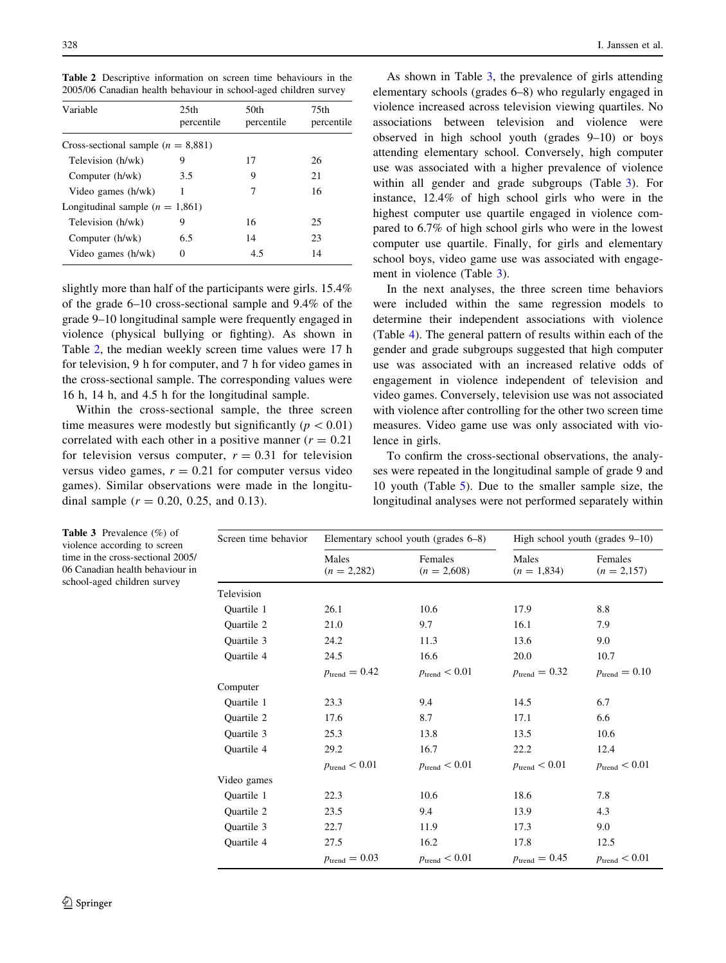Table 2 Descriptive information on screen time behaviours in the 2005/06 Canadian health behaviour in school-aged children survey

| Variable                               | 25 <sub>th</sub><br>percentile | 50th<br>percentile | 75th<br>percentile |
|----------------------------------------|--------------------------------|--------------------|--------------------|
| Cross-sectional sample ( $n = 8,881$ ) |                                |                    |                    |
| Television (h/wk)                      | 9                              | 17                 | 26                 |
| Computer (h/wk)                        | 3.5                            | 9                  | 21                 |
| Video games (h/wk)                     | 1                              |                    | 16                 |
| Longitudinal sample $(n = 1,861)$      |                                |                    |                    |
| Television (h/wk)                      | 9                              | 16                 | 25                 |
| Computer (h/wk)                        | 6.5                            | 14                 | 23                 |
| Video games (h/wk)                     | 0                              | 4.5                | 14                 |

slightly more than half of the participants were girls. 15.4% of the grade 6–10 cross-sectional sample and 9.4% of the grade 9–10 longitudinal sample were frequently engaged in violence (physical bullying or fighting). As shown in Table 2, the median weekly screen time values were 17 h for television, 9 h for computer, and 7 h for video games in the cross-sectional sample. The corresponding values were 16 h, 14 h, and 4.5 h for the longitudinal sample.

Within the cross-sectional sample, the three screen time measures were modestly but significantly ( $p < 0.01$ ) correlated with each other in a positive manner ( $r = 0.21$ ) for television versus computer,  $r = 0.31$  for television versus video games,  $r = 0.21$  for computer versus video games). Similar observations were made in the longitudinal sample  $(r = 0.20, 0.25, \text{ and } 0.13)$ .

As shown in Table 3, the prevalence of girls attending elementary schools (grades 6–8) who regularly engaged in violence increased across television viewing quartiles. No associations between television and violence were observed in high school youth (grades 9–10) or boys attending elementary school. Conversely, high computer use was associated with a higher prevalence of violence within all gender and grade subgroups (Table 3). For instance, 12.4% of high school girls who were in the highest computer use quartile engaged in violence compared to 6.7% of high school girls who were in the lowest computer use quartile. Finally, for girls and elementary school boys, video game use was associated with engagement in violence (Table 3).

In the next analyses, the three screen time behaviors were included within the same regression models to determine their independent associations with violence (Table [4\)](#page-4-0). The general pattern of results within each of the gender and grade subgroups suggested that high computer use was associated with an increased relative odds of engagement in violence independent of television and video games. Conversely, television use was not associated with violence after controlling for the other two screen time measures. Video game use was only associated with violence in girls.

To confirm the cross-sectional observations, the analyses were repeated in the longitudinal sample of grade 9 and 10 youth (Table [5](#page-5-0)). Due to the smaller sample size, the longitudinal analyses were not performed separately within

| Screen time behavior | Elementary school youth (grades 6–8) |                           | High school youth (grades $9-10$ ) |                           |
|----------------------|--------------------------------------|---------------------------|------------------------------------|---------------------------|
|                      | Males<br>$(n = 2,282)$               | Females<br>$(n = 2,608)$  | Males<br>$(n = 1,834)$             | Females<br>$(n = 2,157)$  |
| Television           |                                      |                           |                                    |                           |
| Quartile 1           | 26.1                                 | 10.6                      | 17.9                               | 8.8                       |
| Quartile 2           | 21.0                                 | 9.7                       | 16.1                               | 7.9                       |
| Quartile 3           | 24.2                                 | 11.3                      | 13.6                               | 9.0                       |
| <b>Ouartile 4</b>    | 24.5                                 | 16.6                      | 20.0                               | 10.7                      |
|                      | $p_{\text{trend}} = 0.42$            | $p_{\text{trend}} < 0.01$ | $p_{\text{trend}} = 0.32$          | $p_{\text{trend}} = 0.10$ |
| Computer             |                                      |                           |                                    |                           |
| <b>Ouartile 1</b>    | 23.3                                 | 9.4                       | 14.5                               | 6.7                       |
| Quartile 2           | 17.6                                 | 8.7                       | 17.1                               | 6.6                       |
| Quartile 3           | 25.3                                 | 13.8                      | 13.5                               | 10.6                      |
| Quartile 4           | 29.2                                 | 16.7                      | 22.2                               | 12.4                      |
|                      | $p_{\text{trend}} < 0.01$            | $p_{\text{trend}} < 0.01$ | $p_{\text{trend}} < 0.01$          | $p_{\text{trend}} < 0.01$ |
| Video games          |                                      |                           |                                    |                           |
| Quartile 1           | 22.3                                 | 10.6                      | 18.6                               | 7.8                       |
| Quartile 2           | 23.5                                 | 9.4                       | 13.9                               | 4.3                       |
| Quartile 3           | 22.7                                 | 11.9                      | 17.3                               | 9.0                       |
| Quartile 4           | 27.5                                 | 16.2                      | 17.8                               | 12.5                      |
|                      | $p_{\text{trend}} = 0.03$            | $p_{\text{trend}} < 0.01$ | $p_{\text{trend}} = 0.45$          | $p_{\text{trend}} < 0.01$ |

Table 3 Prevalence (%) of violence according to screen time in the cross-sectional 2005/ 06 Canadian health behaviour in school-aged children survey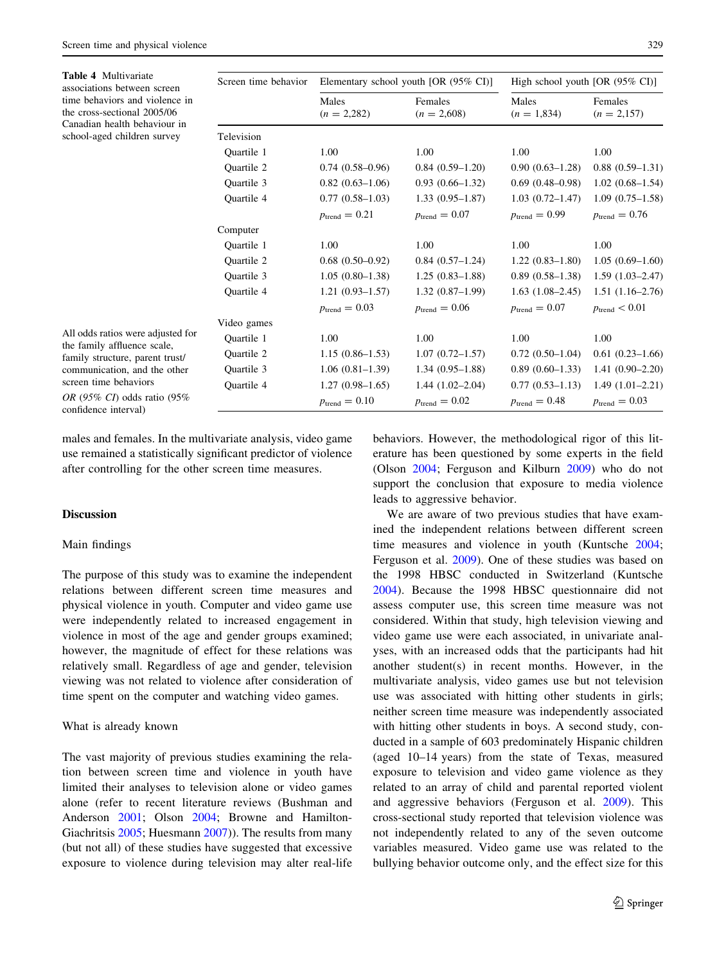<span id="page-4-0"></span>

| <b>Table 4 Multivariate</b><br>associations between screen<br>time behaviors and violence in<br>the cross-sectional 2005/06<br>Canadian health behaviour in<br>school-aged children survey | Screen time behavior | Elementary school youth [OR $(95\% \text{ CI})$ ] |                           | High school youth [OR $(95\% \text{ CI})$ ] |                           |
|--------------------------------------------------------------------------------------------------------------------------------------------------------------------------------------------|----------------------|---------------------------------------------------|---------------------------|---------------------------------------------|---------------------------|
|                                                                                                                                                                                            |                      | Males<br>$(n = 2,282)$                            | Females<br>$(n = 2,608)$  | Males<br>$(n = 1,834)$                      | Females<br>$(n = 2,157)$  |
|                                                                                                                                                                                            | Television           |                                                   |                           |                                             |                           |
|                                                                                                                                                                                            | Quartile 1           | 1.00                                              | 1.00                      | 1.00                                        | 1.00                      |
|                                                                                                                                                                                            | Quartile 2           | $0.74(0.58-0.96)$                                 | $0.84(0.59-1.20)$         | $0.90(0.63 - 1.28)$                         | $0.88(0.59-1.31)$         |
|                                                                                                                                                                                            | Quartile 3           | $0.82(0.63-1.06)$                                 | $0.93(0.66 - 1.32)$       | $0.69(0.48 - 0.98)$                         | $1.02(0.68-1.54)$         |
|                                                                                                                                                                                            | <b>Ouartile 4</b>    | $0.77(0.58-1.03)$                                 | $1.33(0.95 - 1.87)$       | $1.03(0.72 - 1.47)$                         | $1.09(0.75-1.58)$         |
|                                                                                                                                                                                            |                      | $p_{\text{trend}} = 0.21$                         | $p_{\text{trend}} = 0.07$ | $p_{\text{trend}} = 0.99$                   | $p_{\text{trend}} = 0.76$ |
|                                                                                                                                                                                            | Computer             |                                                   |                           |                                             |                           |
|                                                                                                                                                                                            | Quartile 1           | 1.00                                              | 1.00                      | 1.00                                        | 1.00                      |
|                                                                                                                                                                                            | Quartile 2           | $0.68(0.50-0.92)$                                 | $0.84(0.57-1.24)$         | $1.22(0.83 - 1.80)$                         | $1.05(0.69-1.60)$         |
|                                                                                                                                                                                            | Quartile 3           | $1.05(0.80-1.38)$                                 | $1.25(0.83 - 1.88)$       | $0.89(0.58-1.38)$                           | $1.59(1.03-2.47)$         |
|                                                                                                                                                                                            | Quartile 4           | $1.21(0.93 - 1.57)$                               | $1.32(0.87-1.99)$         | $1.63(1.08-2.45)$                           | $1.51(1.16-2.76)$         |
|                                                                                                                                                                                            |                      | $p_{\text{trend}} = 0.03$                         | $p_{\text{trend}} = 0.06$ | $p_{\text{trend}} = 0.07$                   | $p_{\text{trend}} < 0.01$ |
| All odds ratios were adjusted for<br>the family affluence scale,<br>family structure, parent trust/<br>communication, and the other<br>screen time behaviors                               | Video games          |                                                   |                           |                                             |                           |
|                                                                                                                                                                                            | Quartile 1           | 1.00                                              | 1.00                      | 1.00                                        | 1.00                      |
|                                                                                                                                                                                            | Quartile 2           | $1.15(0.86-1.53)$                                 | $1.07(0.72 - 1.57)$       | $0.72(0.50-1.04)$                           | $0.61(0.23-1.66)$         |
|                                                                                                                                                                                            | Quartile 3           | $1.06(0.81-1.39)$                                 | $1.34(0.95-1.88)$         | $0.89(0.60-1.33)$                           | $1.41(0.90 - 2.20)$       |
|                                                                                                                                                                                            | Quartile 4           | $1.27(0.98 - 1.65)$                               | $1.44(1.02-2.04)$         | $0.77(0.53 - 1.13)$                         | $1.49(1.01-2.21)$         |
| OR (95% CI) odds ratio (95%)                                                                                                                                                               |                      | $p_{\text{trend}} = 0.10$                         | $p_{\text{trend}} = 0.02$ | $p_{\text{trend}} = 0.48$                   | $p_{\text{trend}} = 0.03$ |

OR (95% CI) odds ratio (95% confidence interval)

males and females. In the multivariate analysis, video game use remained a statistically significant predictor of violence after controlling for the other screen time measures.

# **Discussion**

#### Main findings

The purpose of this study was to examine the independent relations between different screen time measures and physical violence in youth. Computer and video game use were independently related to increased engagement in violence in most of the age and gender groups examined; however, the magnitude of effect for these relations was relatively small. Regardless of age and gender, television viewing was not related to violence after consideration of time spent on the computer and watching video games.

#### What is already known

The vast majority of previous studies examining the relation between screen time and violence in youth have limited their analyses to television alone or video games alone (refer to recent literature reviews (Bushman and Anderson [2001;](#page-6-0) Olson [2004;](#page-6-0) Browne and Hamilton-Giachritsis [2005;](#page-6-0) Huesmann [2007](#page-6-0))). The results from many (but not all) of these studies have suggested that excessive exposure to violence during television may alter real-life

behaviors. However, the methodological rigor of this literature has been questioned by some experts in the field (Olson [2004;](#page-6-0) Ferguson and Kilburn [2009](#page-6-0)) who do not support the conclusion that exposure to media violence leads to aggressive behavior.

We are aware of two previous studies that have examined the independent relations between different screen time measures and violence in youth (Kuntsche [2004](#page-6-0); Ferguson et al. [2009](#page-6-0)). One of these studies was based on the 1998 HBSC conducted in Switzerland (Kuntsche [2004](#page-6-0)). Because the 1998 HBSC questionnaire did not assess computer use, this screen time measure was not considered. Within that study, high television viewing and video game use were each associated, in univariate analyses, with an increased odds that the participants had hit another student(s) in recent months. However, in the multivariate analysis, video games use but not television use was associated with hitting other students in girls; neither screen time measure was independently associated with hitting other students in boys. A second study, conducted in a sample of 603 predominately Hispanic children (aged 10–14 years) from the state of Texas, measured exposure to television and video game violence as they related to an array of child and parental reported violent and aggressive behaviors (Ferguson et al. [2009\)](#page-6-0). This cross-sectional study reported that television violence was not independently related to any of the seven outcome variables measured. Video game use was related to the bullying behavior outcome only, and the effect size for this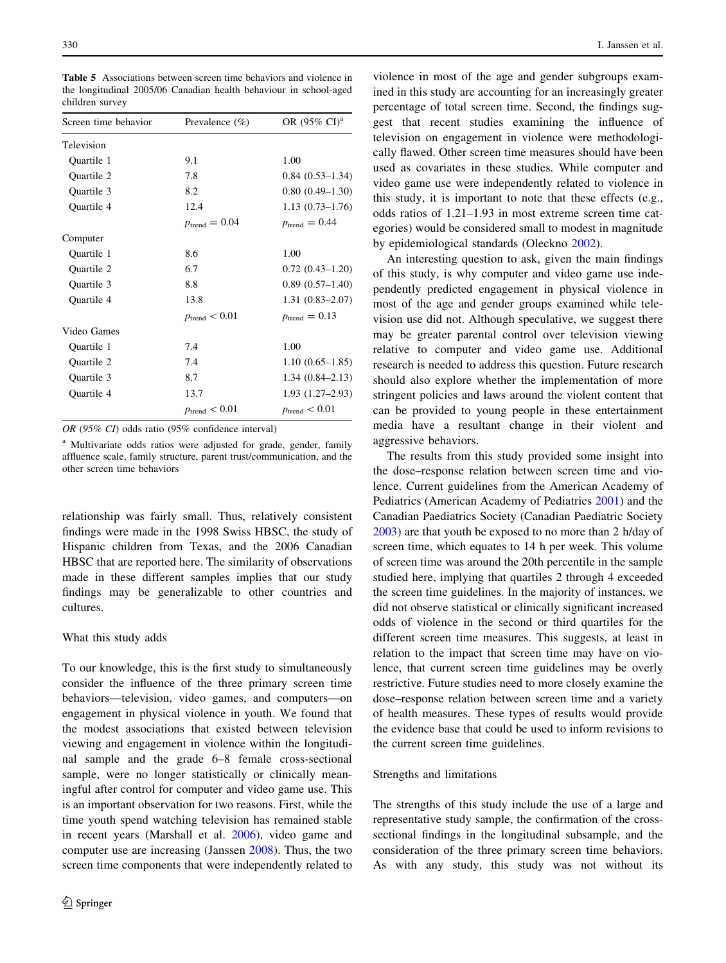Screen time behavior Prevalence  $(\%)$  OR  $(95\% \text{ CI})^{\text{a}}$ Television Quartile 1 9.1 1.00 Quartile 2 7.8 0.84 (0.53–1.34) Quartile 3 8.2 0.80 (0.49–1.30) Quartile 4 12.4 1.13 (0.73–1.76)  $p_{\text{trend}} = 0.04$   $p_{\text{trend}} = 0.44$ Computer Quartile 1 8.6 1.00 Quartile 2 6.7 0.72 (0.43–1.20) Quartile 3 8.8 0.89 (0.57–1.40) Quartile 4 13.8 1.31 (0.83–2.07)  $p_{\text{trend}} < 0.01$   $p_{\text{trend}} = 0.13$ Video Games Quartile 1 7.4 1.00 Quartile 2 7.4 1.10 (0.65–1.85) Quartile 3 8.7 1.34 (0.84–2.13) Quartile 4 13.7 1.93 (1.27–2.93)  $p_{\text{trend}} < 0.01 \qquad \qquad p_{\text{trend}} < 0.01$ 

<span id="page-5-0"></span>Table 5 Associations between screen time behaviors and violence in the longitudinal 2005/06 Canadian health behaviour in school-aged children survey

OR (95% CI) odds ratio (95% confidence interval)

<sup>a</sup> Multivariate odds ratios were adjusted for grade, gender, family affluence scale, family structure, parent trust/communication, and the other screen time behaviors

relationship was fairly small. Thus, relatively consistent findings were made in the 1998 Swiss HBSC, the study of Hispanic children from Texas, and the 2006 Canadian HBSC that are reported here. The similarity of observations made in these different samples implies that our study findings may be generalizable to other countries and cultures.

## What this study adds

To our knowledge, this is the first study to simultaneously consider the influence of the three primary screen time behaviors—television, video games, and computers—on engagement in physical violence in youth. We found that the modest associations that existed between television viewing and engagement in violence within the longitudinal sample and the grade 6–8 female cross-sectional sample, were no longer statistically or clinically meaningful after control for computer and video game use. This is an important observation for two reasons. First, while the time youth spend watching television has remained stable in recent years (Marshall et al. [2006](#page-6-0)), video game and computer use are increasing (Janssen [2008\)](#page-6-0). Thus, the two screen time components that were independently related to violence in most of the age and gender subgroups examined in this study are accounting for an increasingly greater percentage of total screen time. Second, the findings suggest that recent studies examining the influence of television on engagement in violence were methodologically flawed. Other screen time measures should have been used as covariates in these studies. While computer and video game use were independently related to violence in this study, it is important to note that these effects (e.g., odds ratios of 1.21–1.93 in most extreme screen time categories) would be considered small to modest in magnitude by epidemiological standards (Oleckno [2002](#page-6-0)).

An interesting question to ask, given the main findings of this study, is why computer and video game use independently predicted engagement in physical violence in most of the age and gender groups examined while television use did not. Although speculative, we suggest there may be greater parental control over television viewing relative to computer and video game use. Additional research is needed to address this question. Future research should also explore whether the implementation of more stringent policies and laws around the violent content that can be provided to young people in these entertainment media have a resultant change in their violent and aggressive behaviors.

The results from this study provided some insight into the dose–response relation between screen time and violence. Current guidelines from the American Academy of Pediatrics (American Academy of Pediatrics [2001\)](#page-6-0) and the Canadian Paediatrics Society (Canadian Paediatric Society [2003](#page-6-0)) are that youth be exposed to no more than 2 h/day of screen time, which equates to 14 h per week. This volume of screen time was around the 20th percentile in the sample studied here, implying that quartiles 2 through 4 exceeded the screen time guidelines. In the majority of instances, we did not observe statistical or clinically significant increased odds of violence in the second or third quartiles for the different screen time measures. This suggests, at least in relation to the impact that screen time may have on violence, that current screen time guidelines may be overly restrictive. Future studies need to more closely examine the dose–response relation between screen time and a variety of health measures. These types of results would provide the evidence base that could be used to inform revisions to the current screen time guidelines.

## Strengths and limitations

The strengths of this study include the use of a large and representative study sample, the confirmation of the crosssectional findings in the longitudinal subsample, and the consideration of the three primary screen time behaviors. As with any study, this study was not without its